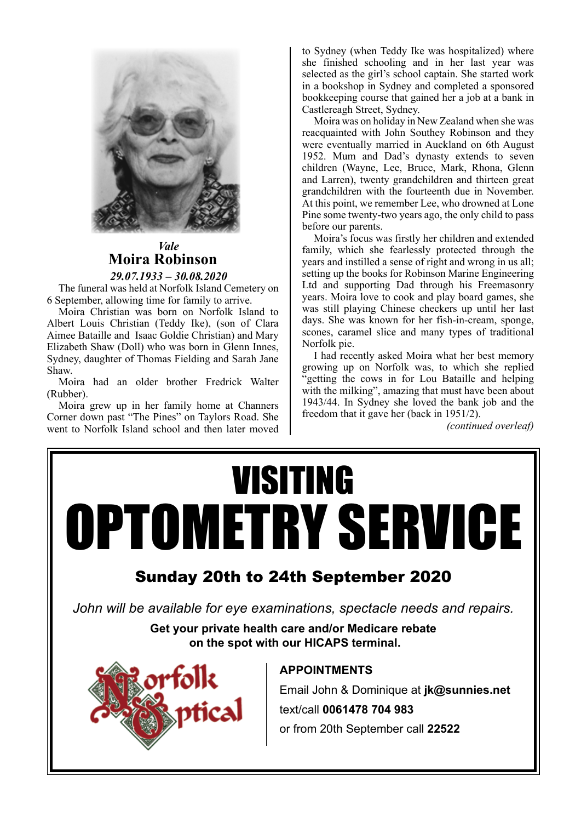

#### *Vale* **Moira Robinson** *29.07.1933 – 30.08.2020*

The funeral was held at Norfolk Island Cemetery on 6 September, allowing time for family to arrive.

Moira Christian was born on Norfolk Island to Albert Louis Christian (Teddy Ike), (son of Clara Aimee Bataille and Isaac Goldie Christian) and Mary Elizabeth Shaw (Doll) who was born in Glenn Innes, Sydney, daughter of Thomas Fielding and Sarah Jane Shaw.

Moira had an older brother Fredrick Walter (Rubber).

Moira grew up in her family home at Channers Corner down past "The Pines" on Taylors Road. She went to Norfolk Island school and then later moved to Sydney (when Teddy Ike was hospitalized) where she finished schooling and in her last year was selected as the girl's school captain. She started work in a bookshop in Sydney and completed a sponsored bookkeeping course that gained her a job at a bank in Castlereagh Street, Sydney.

Moira was on holiday in New Zealand when she was reacquainted with John Southey Robinson and they were eventually married in Auckland on 6th August 1952. Mum and Dad's dynasty extends to seven children (Wayne, Lee, Bruce, Mark, Rhona, Glenn and Larren), twenty grandchildren and thirteen great grandchildren with the fourteenth due in November. At this point, we remember Lee, who drowned at Lone Pine some twenty-two years ago, the only child to pass before our parents.

Moira's focus was firstly her children and extended family, which she fearlessly protected through the years and instilled a sense of right and wrong in us all; setting up the books for Robinson Marine Engineering Ltd and supporting Dad through his Freemasonry years. Moira love to cook and play board games, she was still playing Chinese checkers up until her last days. She was known for her fish-in-cream, sponge, scones, caramel slice and many types of traditional Norfolk pie.

I had recently asked Moira what her best memory growing up on Norfolk was, to which she replied "getting the cows in for Lou Bataille and helping with the milking", amazing that must have been about 1943/44. In Sydney she loved the bank job and the freedom that it gave her (back in 1951/2).

*(continued overleaf)*